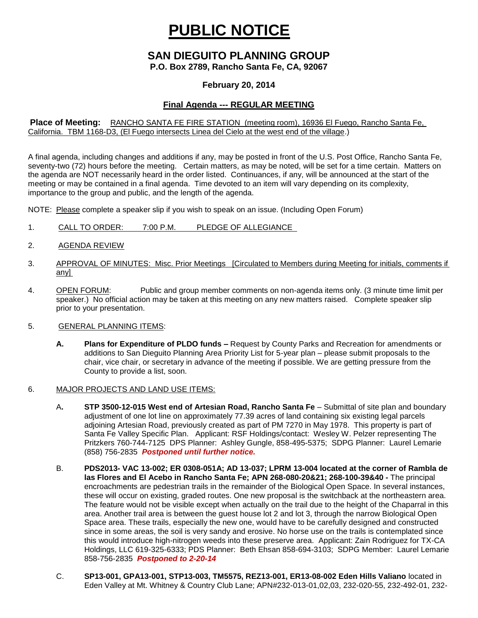# **PUBLIC NOTICE**

## **SAN DIEGUITO PLANNING GROUP**

**P.O. Box 2789, Rancho Santa Fe, CA, 92067**

#### **February 20, 2014**

### **Final Agenda --- REGULAR MEETING**

#### **Place of Meeting:** RANCHO SANTA FE FIRE STATION (meeting room), 16936 El Fuego, Rancho Santa Fe, California. TBM 1168-D3, (El Fuego intersects Linea del Cielo at the west end of the village.)

A final agenda, including changes and additions if any, may be posted in front of the U.S. Post Office, Rancho Santa Fe, seventy-two (72) hours before the meeting. Certain matters, as may be noted, will be set for a time certain. Matters on the agenda are NOT necessarily heard in the order listed. Continuances, if any, will be announced at the start of the meeting or may be contained in a final agenda. Time devoted to an item will vary depending on its complexity, importance to the group and public, and the length of the agenda.

NOTE: Please complete a speaker slip if you wish to speak on an issue. (Including Open Forum)

- 1. CALL TO ORDER: 7:00 P.M. PLEDGE OF ALLEGIANCE
- 2. AGENDA REVIEW
- 3. APPROVAL OF MINUTES: Misc. Prior Meetings [Circulated to Members during Meeting for initials, comments if any]
- 4. OPEN FORUM: Public and group member comments on non-agenda items only. (3 minute time limit per speaker.) No official action may be taken at this meeting on any new matters raised. Complete speaker slip prior to your presentation.
- 5. GENERAL PLANNING ITEMS:
	- **A. Plans for Expenditure of PLDO funds –** Request by County Parks and Recreation for amendments or additions to San Dieguito Planning Area Priority List for 5-year plan – please submit proposals to the chair, vice chair, or secretary in advance of the meeting if possible. We are getting pressure from the County to provide a list, soon.
- 6. MAJOR PROJECTS AND LAND USE ITEMS:
	- A**. STP 3500-12-015 West end of Artesian Road, Rancho Santa Fe** Submittal of site plan and boundary adjustment of one lot line on approximately 77.39 acres of land containing six existing legal parcels adjoining Artesian Road, previously created as part of PM 7270 in May 1978. This property is part of Santa Fe Valley Specific Plan.Applicant: RSF Holdings/contact: Wesley W. Pelzer representing The Pritzkers 760-744-7125 DPS Planner: Ashley Gungle, 858-495-5375; SDPG Planner: Laurel Lemarie (858) 756-2835 *Postponed until further notice.*
	- B. **PDS2013- VAC 13-002; ER 0308-051A; AD 13-037; LPRM 13-004 located at the corner of Rambla de las Flores and El Acebo in Rancho Santa Fe; APN 268-080-20&21; 268-100-39&40 -** The principal encroachments are pedestrian trails in the remainder of the Biological Open Space. In several instances, these will occur on existing, graded routes. One new proposal is the switchback at the northeastern area. The feature would not be visible except when actually on the trail due to the height of the Chaparral in this area. Another trail area is between the guest house lot 2 and lot 3, through the narrow Biological Open Space area. These trails, especially the new one, would have to be carefully designed and constructed since in some areas, the soil is very sandy and erosive. No horse use on the trails is contemplated since this would introduce high-nitrogen weeds into these preserve area. Applicant: Zain Rodriguez for TX-CA Holdings, LLC 619-325-6333; PDS Planner: Beth Ehsan 858-694-3103; SDPG Member: Laurel Lemarie 858-756-2835 *Postponed to 2-20-14*
	- C. **SP13-001, GPA13-001, STP13-003, TM5575, REZ13-001, ER13-08-002 Eden Hills Valiano** located in Eden Valley at Mt. Whitney & Country Club Lane; APN#232-013-01,02,03, 232-020-55, 232-492-01, 232-